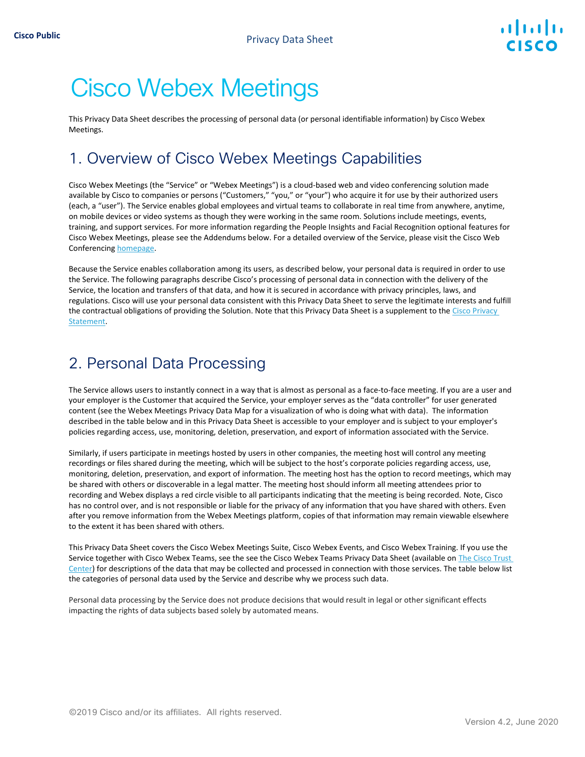# Cisco Webex Meetings

This Privacy Data Sheet describes the processing of personal data (or personal identifiable information) by Cisco Webex Meetings.

# 1. Overview of Cisco Webex Meetings Capabilities

Cisco Webex Meetings (the "Service" or "Webex Meetings") is a cloud-based web and video conferencing solution made available by Cisco to companies or persons ("Customers," "you," or "your") who acquire it for use by their authorized users (each, a "user"). The Service enables global employees and virtual teams to collaborate in real time from anywhere, anytime, on mobile devices or video systems as though they were working in the same room. Solutions include meetings, events, training, and support services. For more information regarding the People Insights and Facial Recognition optional features for Cisco Webex Meetings, please see the Addendums below. For a detailed overview of the Service, please visit the Cisco Web Conferencin[g homepage.](https://www.cisco.com/c/en/us/products/conferencing/web-conferencing/index.html#~stickynav=1) 

Because the Service enables collaboration among its users, as described below, your personal data is required in order to use the Service. The following paragraphs describe Cisco's processing of personal data in connection with the delivery of the Service, the location and transfers of that data, and how it is secured in accordance with privacy principles, laws, and regulations. Cisco will use your personal data consistent with this Privacy Data Sheet to serve the legitimate interests and fulfill the contractual obligations of providing the Solution. Note that this Privacy Data Sheet is a supplement to the Cisco Privacy [Statement.](https://www.cisco.com/web/siteassets/legal/privacy_full.html)

# 2. Personal Data Processing

The Service allows users to instantly connect in a way that is almost as personal as a face-to-face meeting. If you are a user and your employer is the Customer that acquired the Service, your employer serves as the "data controller" for user generated content (see the Webex Meetings [Privacy Data Map](https://trustportal.cisco.com/c/r/ctp/trust-portal.html?doctype=Privacy%20Data%20Map#/customer_transparency/pdfViewer/c%2Fdam%2Fr%2Fctp%2Fdocs%2Fprivacydatamap%2Fcollaboration%2Fwebex-meetings-privacy-data-map.pdf?docClassification=public) for a visualization of who is doing what with data). The information described in the table below and in this Privacy Data Sheet is accessible to your employer and is subject to your employer's policies regarding access, use, monitoring, deletion, preservation, and export of information associated with the Service.

Similarly, if users participate in meetings hosted by users in other companies, the meeting host will control any meeting recordings or files shared during the meeting, which will be subject to the host's corporate policies regarding access, use, monitoring, deletion, preservation, and export of information. The meeting host has the option to record meetings, which may be shared with others or discoverable in a legal matter. The meeting host should inform all meeting attendees prior to recording and Webex displays a red circle visible to all participants indicating that the meeting is being recorded. Note, Cisco has no control over, and is not responsible or liable for the privacy of any information that you have shared with others. Even after you remove information from the Webex Meetings platform, copies of that information may remain viewable elsewhere to the extent it has been shared with others.

This Privacy Data Sheet covers the Cisco Webex Meetings Suite, Cisco Webex Events, and Cisco Webex Training. If you use the Service together with Cisco Webex Teams, see the see the Cisco Webex Teams Privacy Data Sheet (available on [The Cisco Trust](https://www.cisco.com/c/en/us/about/trust-center/solutions-privacy-data-sheets.html)  [Center\)](https://www.cisco.com/c/en/us/about/trust-center/solutions-privacy-data-sheets.html) for descriptions of the data that may be collected and processed in connection with those services. The table below list the categories of personal data used by the Service and describe why we process such data.

Personal data processing by the Service does not produce decisions that would result in legal or other significant effects impacting the rights of data subjects based solely by automated means.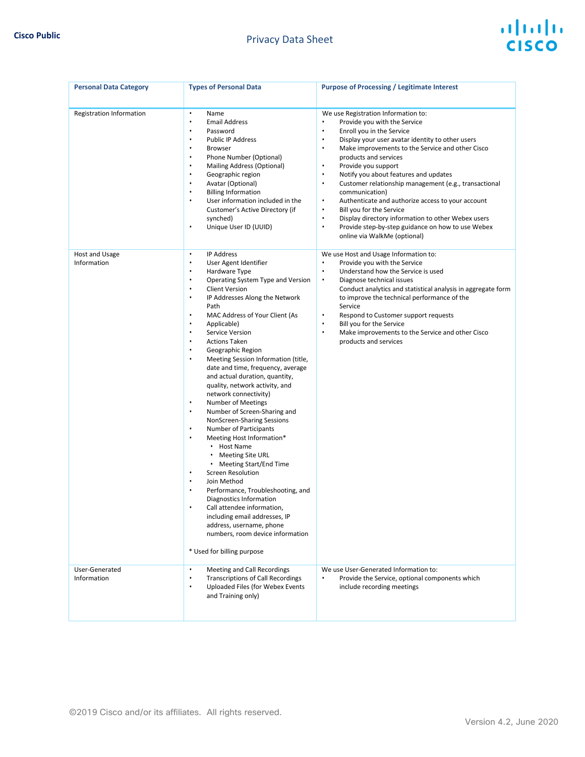#### **Cisco Public Cisco Public Cisco Public Cisco Public Cisco Public Cisco Public Cisco Public Cisco Public Cisco Public Cisco Public Cisco Public Cisco Public Cisco Public Cisco Public Cisco Publi**

|  | ahah         |  |
|--|--------------|--|
|  | <b>CISCO</b> |  |

| <b>Personal Data Category</b> | <b>Types of Personal Data</b>                                                                                                                                                                                                                                                                                                                                                                                                                                                                                                                                                                                                                                                                                                                                                                                                                                                                                                                                                                                                                                                                                                                                                         | <b>Purpose of Processing / Legitimate Interest</b>                                                                                                                                                                                                                                                                                                                                                                                                                                                                                                                                                                                                                                                                                                      |
|-------------------------------|---------------------------------------------------------------------------------------------------------------------------------------------------------------------------------------------------------------------------------------------------------------------------------------------------------------------------------------------------------------------------------------------------------------------------------------------------------------------------------------------------------------------------------------------------------------------------------------------------------------------------------------------------------------------------------------------------------------------------------------------------------------------------------------------------------------------------------------------------------------------------------------------------------------------------------------------------------------------------------------------------------------------------------------------------------------------------------------------------------------------------------------------------------------------------------------|---------------------------------------------------------------------------------------------------------------------------------------------------------------------------------------------------------------------------------------------------------------------------------------------------------------------------------------------------------------------------------------------------------------------------------------------------------------------------------------------------------------------------------------------------------------------------------------------------------------------------------------------------------------------------------------------------------------------------------------------------------|
| Registration Information      | $\bullet$<br>Name<br><b>Email Address</b><br>$\bullet$<br>Password<br><b>Public IP Address</b><br>٠<br><b>Browser</b><br>٠<br>Phone Number (Optional)<br>$\bullet$<br>Mailing Address (Optional)<br>٠<br>$\bullet$<br>Geographic region<br>Avatar (Optional)<br>$\bullet$<br><b>Billing Information</b><br>$\bullet$<br>User information included in the<br>$\bullet$<br>Customer's Active Directory (if<br>synched)<br>Unique User ID (UUID)<br>$\bullet$                                                                                                                                                                                                                                                                                                                                                                                                                                                                                                                                                                                                                                                                                                                            | We use Registration Information to:<br>Provide you with the Service<br>$\bullet$<br>$\bullet$<br>Enroll you in the Service<br>$\bullet$<br>Display your user avatar identity to other users<br>$\bullet$<br>Make improvements to the Service and other Cisco<br>products and services<br>Provide you support<br>$\bullet$<br>Notify you about features and updates<br>$\bullet$<br>Customer relationship management (e.g., transactional<br>$\bullet$<br>communication)<br>$\bullet$<br>Authenticate and authorize access to your account<br>Bill you for the Service<br>$\bullet$<br>Display directory information to other Webex users<br>$\bullet$<br>$\bullet$<br>Provide step-by-step guidance on how to use Webex<br>online via WalkMe (optional) |
| Host and Usage<br>Information | $\bullet$<br><b>IP Address</b><br>User Agent Identifier<br>٠<br>$\bullet$<br>Hardware Type<br>Operating System Type and Version<br>٠<br><b>Client Version</b><br>$\bullet$<br>IP Addresses Along the Network<br>$\bullet$<br>Path<br>MAC Address of Your Client (As<br>$\bullet$<br>$\bullet$<br>Applicable)<br>Service Version<br>٠<br>$\bullet$<br><b>Actions Taken</b><br>Geographic Region<br>٠<br>Meeting Session Information (title,<br>$\bullet$<br>date and time, frequency, average<br>and actual duration, quantity,<br>quality, network activity, and<br>network connectivity)<br><b>Number of Meetings</b><br>$\bullet$<br>Number of Screen-Sharing and<br>$\bullet$<br>NonScreen-Sharing Sessions<br>Number of Participants<br>$\bullet$<br>$\bullet$<br>Meeting Host Information*<br>Host Name<br><b>Meeting Site URL</b><br>$\bullet$<br>Meeting Start/End Time<br><b>Screen Resolution</b><br>$\bullet$<br>Join Method<br>٠<br>$\bullet$<br>Performance, Troubleshooting, and<br>Diagnostics Information<br>Call attendee information,<br>including email addresses, IP<br>address, username, phone<br>numbers, room device information<br>* Used for billing purpose | We use Host and Usage Information to:<br>Provide you with the Service<br>$\bullet$<br>$\bullet$<br>Understand how the Service is used<br>Diagnose technical issues<br>$\bullet$<br>Conduct analytics and statistical analysis in aggregate form<br>to improve the technical performance of the<br>Service<br>Respond to Customer support requests<br>$\bullet$<br>$\bullet$<br>Bill you for the Service<br>Make improvements to the Service and other Cisco<br>$\bullet$<br>products and services                                                                                                                                                                                                                                                       |
| User-Generated<br>Information | Meeting and Call Recordings<br>$\bullet$<br><b>Transcriptions of Call Recordings</b><br>$\bullet$<br>Uploaded Files (for Webex Events<br>$\bullet$<br>and Training only)                                                                                                                                                                                                                                                                                                                                                                                                                                                                                                                                                                                                                                                                                                                                                                                                                                                                                                                                                                                                              | We use User-Generated Information to:<br>Provide the Service, optional components which<br>include recording meetings                                                                                                                                                                                                                                                                                                                                                                                                                                                                                                                                                                                                                                   |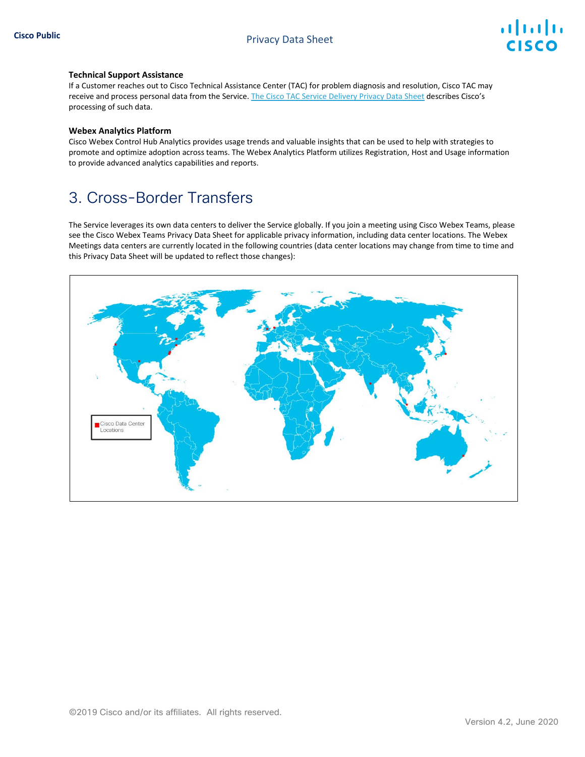#### **Technical Support Assistance**

If a Customer reaches out to Cisco Technical Assistance Center (TAC) for problem diagnosis and resolution, Cisco TAC may receive and process personal data from the Service. [The Cisco TAC Service Delivery Privacy Data Sheet](https://www.cisco.com/c/dam/en_us/about/doing_business/trust-center/docs/cisco-tac-delivery-services-privacy-data-sheet.pdf) describes Cisco's processing of such data.

#### **Webex Analytics Platform**

Cisco Webex Control Hub Analytics provides usage trends and valuable insights that can be used to help with strategies to promote and optimize adoption across teams. The Webex Analytics Platform utilizes Registration, Host and Usage information to provide advanced analytics capabilities and reports.

# 3. Cross-Border Transfers

The Service leverages its own data centers to deliver the Service globally. If you join a meeting using Cisco Webex Teams, please see the Cisco Webex Teams Privacy Data Sheet for applicable privacy information, including data center locations. The Webex Meetings data centers are currently located in the following countries (data center locations may change from time to time and this Privacy Data Sheet will be updated to reflect those changes):

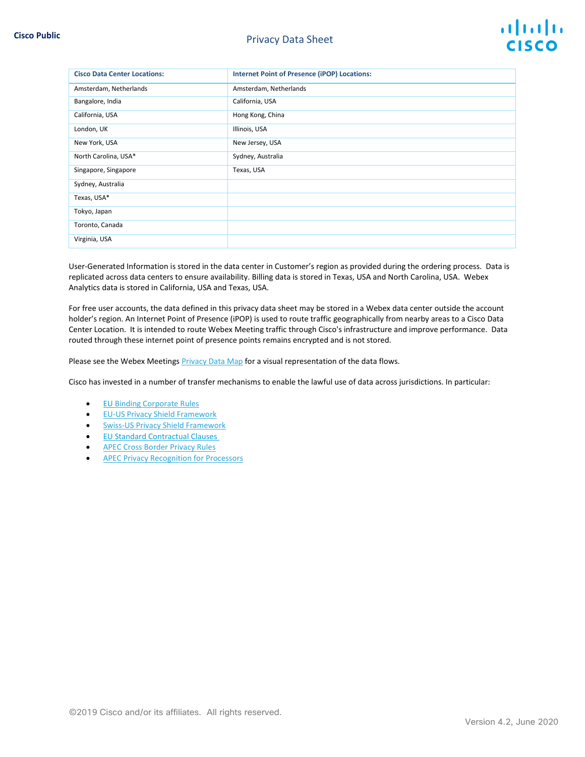| <b>Cisco Data Center Locations:</b> | <b>Internet Point of Presence (iPOP) Locations:</b> |
|-------------------------------------|-----------------------------------------------------|
| Amsterdam, Netherlands              | Amsterdam, Netherlands                              |
| Bangalore, India                    | California, USA                                     |
| California, USA                     | Hong Kong, China                                    |
| London, UK                          | Illinois, USA                                       |
| New York, USA                       | New Jersey, USA                                     |
| North Carolina, USA*                | Sydney, Australia                                   |
| Singapore, Singapore                | Texas, USA                                          |
| Sydney, Australia                   |                                                     |
| Texas, USA*                         |                                                     |
| Tokyo, Japan                        |                                                     |
| Toronto, Canada                     |                                                     |
| Virginia, USA                       |                                                     |

User-Generated Information is stored in the data center in Customer's region as provided during the ordering process. Data is replicated across data centers to ensure availability. Billing data is stored in Texas, USA and North Carolina, USA. Webex Analytics data is stored in California, USA and Texas, USA.

For free user accounts, the data defined in this privacy data sheet may be stored in a Webex data center outside the account holder's region. An Internet Point of Presence (iPOP) is used to route traffic geographically from nearby areas to a Cisco Data Center Location. It is intended to route Webex Meeting traffic through Cisco's infrastructure and improve performance. Data routed through these internet point of presence points remains encrypted and is not stored.

Please see the Webex Meetings **Privacy Data Map** for a visual representation of the data flows.

Cisco has invested in a number of transfer mechanisms to enable the lawful use of data across jurisdictions. In particular:

- E[U Binding Corporate Rules](https://ec.europa.eu/newsroom/article29/item-detail.cfm?item_id=613841)
- [EU-US Privacy Shield Framework](https://www.privacyshield.gov/participant?id=a2zt0000000GnJ2AAK&status=Active)
- [Swiss-US Privacy Shield Framework](https://www.privacyshield.gov/participant?id=a2zt0000000GnJ2AAK&status=Active)
- [EU Standard Contractual Clauses](https://ec.europa.eu/info/law/law-topic/data-protection/data-transfers-outside-eu/model-contracts-transfer-personal-data-third-countries_en)
- [APEC Cross Border Privacy Rules](http://www.cbprs.org/)
- [APEC Privacy Recognition for Processors](http://cbprs.org/compliance-directory/prp/)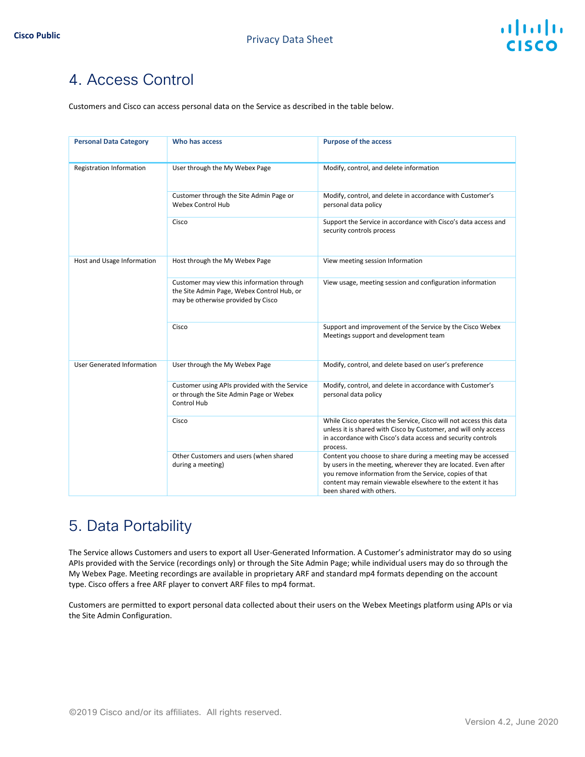# 4. Access Control

Customers and Cisco can access personal data on the Service as described in the table below.

| <b>Personal Data Category</b>     | Who has access                                                                                                                 | <b>Purpose of the access</b>                                                                                                                                                                                                                                                        |
|-----------------------------------|--------------------------------------------------------------------------------------------------------------------------------|-------------------------------------------------------------------------------------------------------------------------------------------------------------------------------------------------------------------------------------------------------------------------------------|
| Registration Information          | User through the My Webex Page                                                                                                 | Modify, control, and delete information                                                                                                                                                                                                                                             |
|                                   | Customer through the Site Admin Page or<br><b>Webex Control Hub</b>                                                            | Modify, control, and delete in accordance with Customer's<br>personal data policy                                                                                                                                                                                                   |
|                                   | Cisco                                                                                                                          | Support the Service in accordance with Cisco's data access and<br>security controls process                                                                                                                                                                                         |
| Host and Usage Information        | Host through the My Webex Page                                                                                                 | View meeting session Information                                                                                                                                                                                                                                                    |
|                                   | Customer may view this information through<br>the Site Admin Page, Webex Control Hub, or<br>may be otherwise provided by Cisco | View usage, meeting session and configuration information                                                                                                                                                                                                                           |
|                                   | Cisco                                                                                                                          | Support and improvement of the Service by the Cisco Webex<br>Meetings support and development team                                                                                                                                                                                  |
| <b>User Generated Information</b> | User through the My Webex Page                                                                                                 | Modify, control, and delete based on user's preference                                                                                                                                                                                                                              |
|                                   | Customer using APIs provided with the Service<br>or through the Site Admin Page or Webex<br><b>Control Hub</b>                 | Modify, control, and delete in accordance with Customer's<br>personal data policy                                                                                                                                                                                                   |
|                                   | Cisco                                                                                                                          | While Cisco operates the Service, Cisco will not access this data<br>unless it is shared with Cisco by Customer, and will only access<br>in accordance with Cisco's data access and security controls<br>process.                                                                   |
|                                   | Other Customers and users (when shared<br>during a meeting)                                                                    | Content you choose to share during a meeting may be accessed<br>by users in the meeting, wherever they are located. Even after<br>you remove information from the Service, copies of that<br>content may remain viewable elsewhere to the extent it has<br>been shared with others. |

# 5. Data Portability

The Service allows Customers and users to export all User-Generated Information. A Customer's administrator may do so using APIs provided with the Service (recordings only) or through the Site Admin Page; while individual users may do so through the My Webex Page. Meeting recordings are available in proprietary ARF and standard mp4 formats depending on the account type. Cisco offers a free ARF player to convert ARF files to mp4 format.

Customers are permitted to export personal data collected about their users on the Webex Meetings platform using APIs or via the Site Admin Configuration.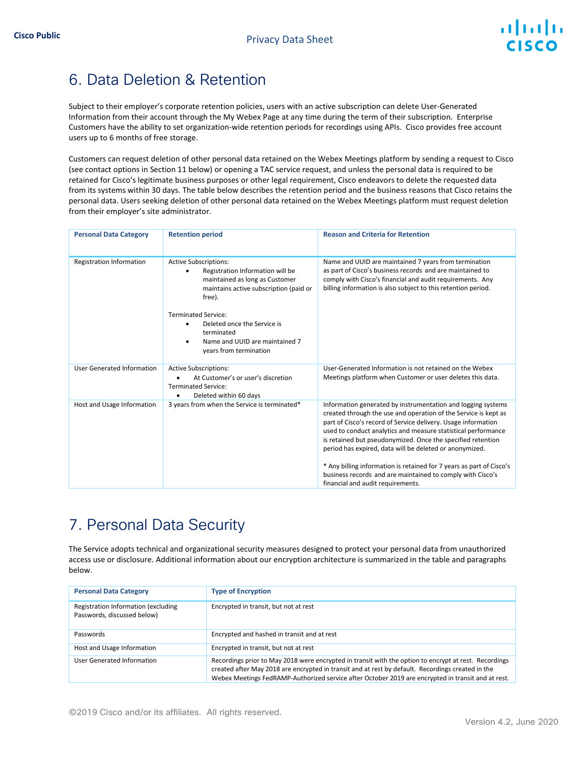# almlı CISCO

# 6. Data Deletion & Retention

Subject to their employer's corporate retention policies, users with an active subscription can delete User-Generated Information from their account through the My Webex Page at any time during the term of their subscription. Enterprise Customers have the ability to set organization-wide retention periods for recordings using APIs. Cisco provides free account users up to 6 months of free storage.

Customers can request deletion of other personal data retained on the Webex Meetings platform by sending a request to Cisco (see contact options in Section 11 below) or opening a TAC service request, and unless the personal data is required to be retained for Cisco's legitimate business purposes or other legal requirement, Cisco endeavors to delete the requested data from its systems within 30 days. The table below describes the retention period and the business reasons that Cisco retains the personal data. Users seeking deletion of other personal data retained on the Webex Meetings platform must request deletion from their employer's site administrator.

| <b>Personal Data Category</b> | <b>Retention period</b>                                                                                                                                                                                                           | <b>Reason and Criteria for Retention</b>                                                                                                                                                                                                                                                                                                                                                    |
|-------------------------------|-----------------------------------------------------------------------------------------------------------------------------------------------------------------------------------------------------------------------------------|---------------------------------------------------------------------------------------------------------------------------------------------------------------------------------------------------------------------------------------------------------------------------------------------------------------------------------------------------------------------------------------------|
| Registration Information      | <b>Active Subscriptions:</b><br>Registration Information will be<br>maintained as long as Customer<br>maintains active subscription (paid or<br>free).<br><b>Terminated Service:</b><br>Deleted once the Service is<br>terminated | Name and UUID are maintained 7 years from termination<br>as part of Cisco's business records and are maintained to<br>comply with Cisco's financial and audit requirements. Any<br>billing information is also subject to this retention period.                                                                                                                                            |
|                               | Name and UUID are maintained 7<br>years from termination                                                                                                                                                                          |                                                                                                                                                                                                                                                                                                                                                                                             |
| User Generated Information    | <b>Active Subscriptions:</b><br>At Customer's or user's discretion<br><b>Terminated Service:</b><br>Deleted within 60 days<br>٠                                                                                                   | User-Generated Information is not retained on the Webex<br>Meetings platform when Customer or user deletes this data.                                                                                                                                                                                                                                                                       |
| Host and Usage Information    | 3 years from when the Service is terminated*                                                                                                                                                                                      | Information generated by instrumentation and logging systems<br>created through the use and operation of the Service is kept as<br>part of Cisco's record of Service delivery. Usage information<br>used to conduct analytics and measure statistical performance<br>is retained but pseudonymized. Once the specified retention<br>period has expired, data will be deleted or anonymized. |
|                               |                                                                                                                                                                                                                                   | * Any billing information is retained for 7 years as part of Cisco's<br>business records and are maintained to comply with Cisco's<br>financial and audit requirements.                                                                                                                                                                                                                     |

# 7. Personal Data Security

The Service adopts technical and organizational security measures designed to protect your personal data from unauthorized access use or disclosure. Additional information about our encryption architecture is summarized in the table and paragraphs below.

| <b>Personal Data Category</b>                                      | <b>Type of Encryption</b>                                                                                                                                                                                                                                                                                        |
|--------------------------------------------------------------------|------------------------------------------------------------------------------------------------------------------------------------------------------------------------------------------------------------------------------------------------------------------------------------------------------------------|
| Registration Information (excluding<br>Passwords, discussed below) | Encrypted in transit, but not at rest                                                                                                                                                                                                                                                                            |
| Passwords                                                          | Encrypted and hashed in transit and at rest                                                                                                                                                                                                                                                                      |
| Host and Usage Information                                         | Encrypted in transit, but not at rest                                                                                                                                                                                                                                                                            |
| User Generated Information                                         | Recordings prior to May 2018 were encrypted in transit with the option to encrypt at rest. Recordings<br>created after May 2018 are encrypted in transit and at rest by default. Recordings created in the<br>Webex Meetings FedRAMP-Authorized service after October 2019 are encrypted in transit and at rest. |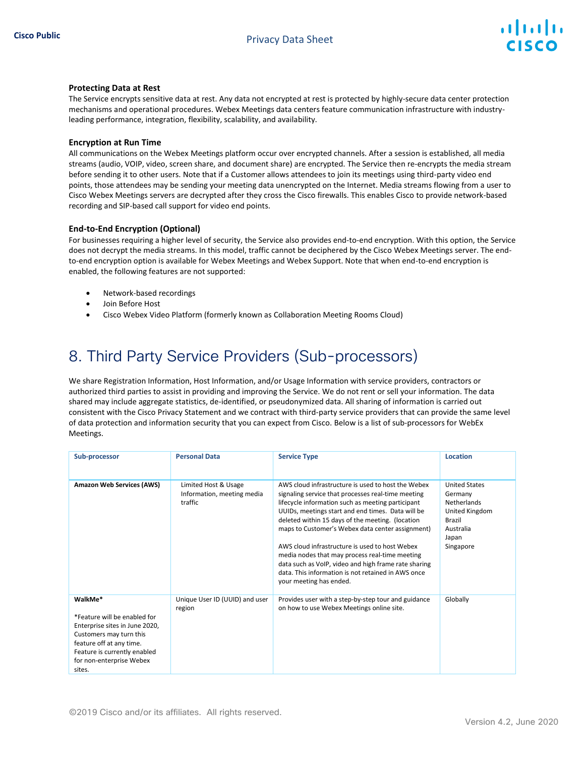

#### **Protecting Data at Rest**

The Service encrypts sensitive data at rest. Any data not encrypted at rest is protected by highly-secure data center protection mechanisms and operational procedures. Webex Meetings data centers feature communication infrastructure with industryleading performance, integration, flexibility, scalability, and availability.

#### **Encryption at Run Time**

All communications on the Webex Meetings platform occur over encrypted channels. After a session is established, all media streams (audio, VOIP, video, screen share, and document share) are encrypted. The Service then re-encrypts the media stream before sending it to other users. Note that if a Customer allows attendees to join its meetings using third-party video end points, those attendees may be sending your meeting data unencrypted on the Internet. Media streams flowing from a user to Cisco Webex Meetings servers are decrypted after they cross the Cisco firewalls. This enables Cisco to provide network-based recording and SIP-based call support for video end points.

#### **End-to-End Encryption (Optional)**

For businesses requiring a higher level of security, the Service also provides end-to-end encryption. With this option, the Service does not decrypt the media streams. In this model, traffic cannot be deciphered by the Cisco Webex Meetings server. The endto-end encryption option is available for Webex Meetings and Webex Support. Note that when end-to-end encryption is enabled, the following features are not supported:

- Network-based recordings
- Join Before Host
- Cisco Webex Video Platform (formerly known as Collaboration Meeting Rooms Cloud)

# 8. Third Party Service Providers (Sub-processors)

We share Registration Information, Host Information, and/or Usage Information with service providers, contractors or authorized third parties to assist in providing and improving the Service. We do not rent or sell your information. The data shared may include aggregate statistics, de-identified, or pseudonymized data. All sharing of information is carried out consistent with the Cisco Privacy Statement and we contract with third-party service providers that can provide the same level of data protection and information security that you can expect from Cisco. Below is a list of sub-processors for WebEx Meetings.

| Sub-processor                                                                                                                                                                                          | <b>Personal Data</b>                                          | <b>Service Type</b>                                                                                                                                                                                                                                                                                                                                                                                                                                                                                                                                                     | <b>Location</b>                                                                                               |
|--------------------------------------------------------------------------------------------------------------------------------------------------------------------------------------------------------|---------------------------------------------------------------|-------------------------------------------------------------------------------------------------------------------------------------------------------------------------------------------------------------------------------------------------------------------------------------------------------------------------------------------------------------------------------------------------------------------------------------------------------------------------------------------------------------------------------------------------------------------------|---------------------------------------------------------------------------------------------------------------|
| <b>Amazon Web Services (AWS)</b>                                                                                                                                                                       | Limited Host & Usage<br>Information, meeting media<br>traffic | AWS cloud infrastructure is used to host the Webex<br>signaling service that processes real-time meeting<br>lifecycle information such as meeting participant<br>UUIDs, meetings start and end times. Data will be<br>deleted within 15 days of the meeting. (location<br>maps to Customer's Webex data center assignment)<br>AWS cloud infrastructure is used to host Webex<br>media nodes that may process real-time meeting<br>data such as VoIP, video and high frame rate sharing<br>data. This information is not retained in AWS once<br>your meeting has ended. | <b>United States</b><br>Germany<br>Netherlands<br>United Kingdom<br>Brazil<br>Australia<br>Japan<br>Singapore |
| WalkMe*<br>*Feature will be enabled for<br>Enterprise sites in June 2020,<br>Customers may turn this<br>feature off at any time.<br>Feature is currently enabled<br>for non-enterprise Webex<br>sites. | Unique User ID (UUID) and user<br>region                      | Provides user with a step-by-step tour and guidance<br>on how to use Webex Meetings online site.                                                                                                                                                                                                                                                                                                                                                                                                                                                                        | Globally                                                                                                      |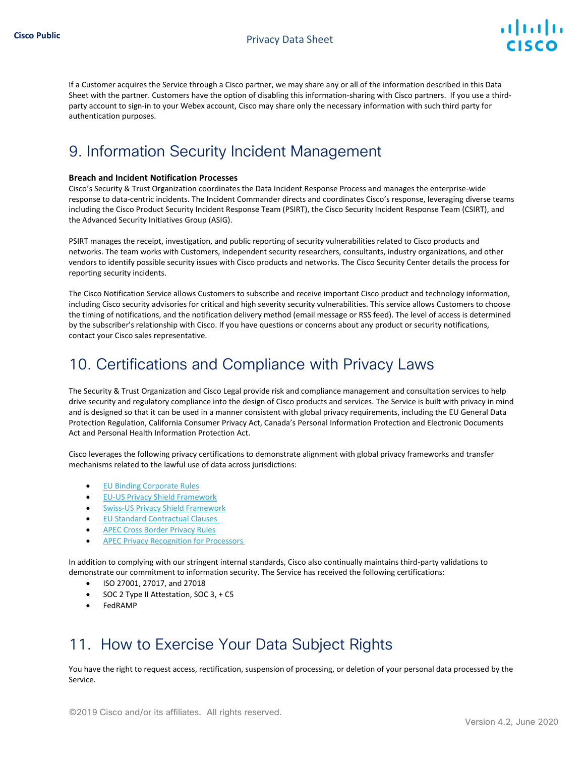

If a Customer acquires the Service through a Cisco partner, we may share any or all of the information described in this Data Sheet with the partner. Customers have the option of disabling this information-sharing with Cisco partners. If you use a thirdparty account to sign-in to your Webex account, Cisco may share only the necessary information with such third party for authentication purposes.

# 9. Information Security Incident Management

#### **Breach and Incident Notification Processes**

Cisco's Security & Trust Organization coordinates the Data Incident Response Process and manages the enterprise-wide response to data-centric incidents. The Incident Commander directs and coordinates Cisco's response, leveraging diverse teams including the Cisco Product Security Incident Response Team (PSIRT), the Cisco Security Incident Response Team (CSIRT), and the Advanced Security Initiatives Group (ASIG).

PSIRT manages the receipt, investigation, and public reporting of security vulnerabilities related to Cisco products and networks. The team works with Customers, independent security researchers, consultants, industry organizations, and other vendors to identify possible security issues with Cisco products and networks. Th[e Cisco Security Center](http://tools.cisco.com/security/center/emergency.x?i=56) details the process for reporting security incidents.

The Cisco Notification Service allows Customers to subscribe and receive important Cisco product and technology information, including Cisco security advisories for critical and high severity security vulnerabilities. This service allows Customers to choose the timing of notifications, and the notification delivery method (email message or RSS feed). The level of access is determined by the subscriber's relationship with Cisco. If you have questions or concerns about any product or security notifications, contact your Cisco sales representative.

## 10. Certifications and Compliance with Privacy Laws

The Security & Trust Organization and Cisco Legal provide risk and compliance management and consultation services to help drive security and regulatory compliance into the design of Cisco products and services. The Service is built with privacy in mind and is designed so that it can be used in a manner consistent with global privacy requirements, including the EU General Data Protection Regulation, California Consumer Privacy Act, Canada's Personal Information Protection and Electronic Documents Act and Personal Health Information Protection Act.

Cisco leverages the following privacy certifications to demonstrate alignment with global privacy frameworks and transfer mechanisms related to the lawful use of data across jurisdictions:

- E[U Binding Corporate Rules](https://ec.europa.eu/newsroom/article29/item-detail.cfm?item_id=613841)
- [EU-US Privacy Shield Framework](https://www.privacyshield.gov/participant?id=a2zt0000000GnJ2AAK&status=Active)
- [Swiss-US Privacy Shield Framework](https://www.privacyshield.gov/participant?id=a2zt0000000GnJ2AAK&status=Active)
- [EU Standard Contractual Clauses](https://ec.europa.eu/info/law/law-topic/data-protection/international-dimension-data-protection/standard-contractual-clauses-scc_en)
- [APEC Cross Border Privacy Rules](http://www.cbprs.org/)
- APEC Privacy Recognition for Processors

In addition to complying with our stringent internal standards, Cisco also continually maintains third-party validations to demonstrate our commitment to information security. The Service has received the following certifications:

- ISO 27001, 27017, and 27018
- SOC 2 Type II Attestation, SOC 3, + C5
- FedRAMP

# 11. How to Exercise Your Data Subject Rights

You have the right to request access, rectification, suspension of processing, or deletion of your personal data processed by the Service.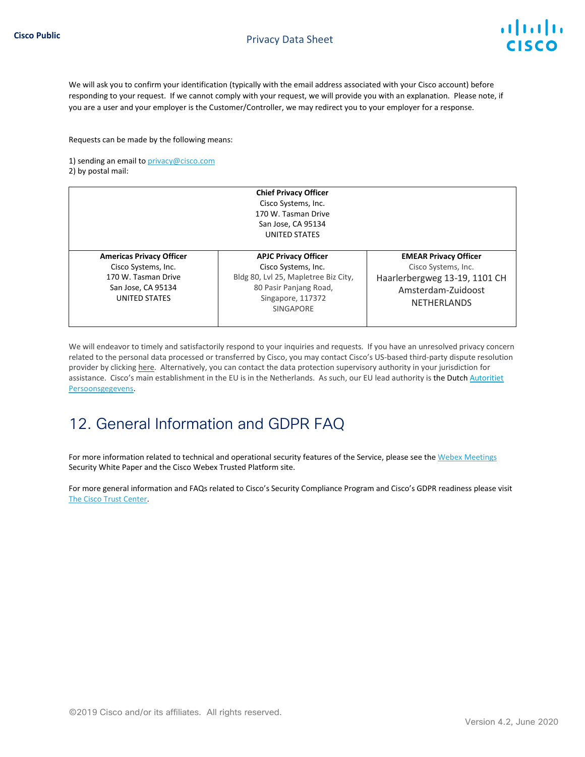We will ask you to confirm your identification (typically with the email address associated with your Cisco account) before responding to your request. If we cannot comply with your request, we will provide you with an explanation. Please note, if you are a user and your employer is the Customer/Controller, we may redirect you to your employer for a response.

Requests can be made by the following means:

1) sending an email to [privacy@cisco.com](mailto:privacy@cisco.com) 2) by postal mail:

|                                                                                                                      | <b>Chief Privacy Officer</b><br>Cisco Systems, Inc.<br>170 W. Tasman Drive<br>San Jose, CA 95134<br>UNITED STATES                                      |                                                                                                                                  |
|----------------------------------------------------------------------------------------------------------------------|--------------------------------------------------------------------------------------------------------------------------------------------------------|----------------------------------------------------------------------------------------------------------------------------------|
| <b>Americas Privacy Officer</b><br>Cisco Systems, Inc.<br>170 W. Tasman Drive<br>San Jose, CA 95134<br>UNITED STATES | <b>APJC Privacy Officer</b><br>Cisco Systems, Inc.<br>Bldg 80, Lvl 25, Mapletree Biz City,<br>80 Pasir Panjang Road,<br>Singapore, 117372<br>SINGAPORE | <b>EMEAR Privacy Officer</b><br>Cisco Systems, Inc.<br>Haarlerbergweg 13-19, 1101 CH<br>Amsterdam-Zuidoost<br><b>NETHERLANDS</b> |

We will endeavor to timely and satisfactorily respond to your inquiries and requests. If you have an unresolved privacy concern related to the personal data processed or transferred by Cisco, you may contact Cisco's US-based third-party dispute resolution provider by clicking [here.](https://feedback-form.truste.com/watchdog/request) Alternatively, you can contact the data protection supervisory authority in your jurisdiction for assistance. Cisco's main establishment in the EU is in the Netherlands. As such, our EU lead authority is the Dutch [Autoritiet](https://autoriteitpersoonsgegevens.nl/en/contact-dutch-dpa/contact-us) [Persoonsgegevens.](https://autoriteitpersoonsgegevens.nl/en/contact-dutch-dpa/contact-us)

# 12. General Information and GDPR FAQ

For more information related to technical and operational security features of the Service, please see th[e Webex Meetings](https://www.cisco.com/c/dam/en/us/products/collateral/conferencing/webex-meeting-center/white-paper-c11-737588.pdf) [Security White Paper](https://www.cisco.com/c/dam/en/us/products/collateral/conferencing/webex-meeting-center/white-paper-c11-737588.pdf) and the Cisco Webex Trusted Platform site.

For more general information and FAQs related to Cisco's Security Compliance Program and Cisco's GDPR readiness please visit [The Cisco Trust Center.](https://www.cisco.com/c/en/us/about/trust-center.html)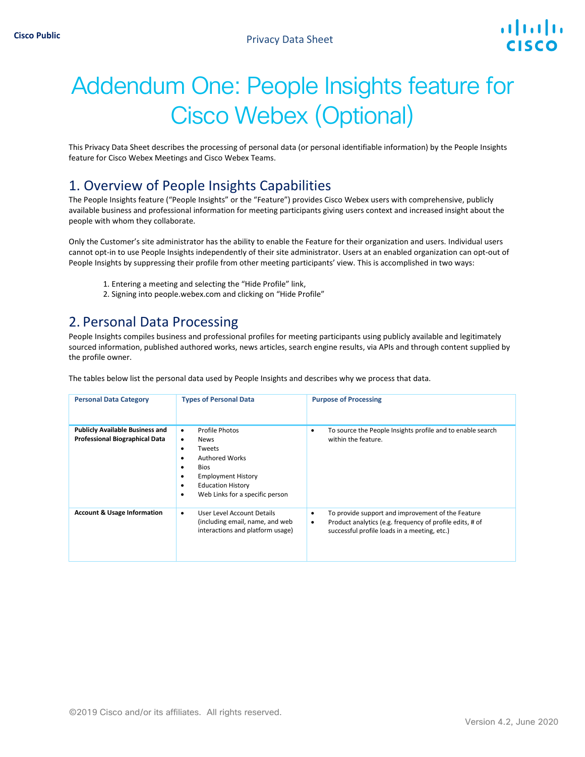# Addendum One: People Insights feature for Cisco Webex (Optional)

This Privacy Data Sheet describes the processing of personal data (or personal identifiable information) by the People Insights feature for Cisco Webex Meetings and Cisco Webex Teams.

#### 1. Overview of People Insights Capabilities

The People Insights feature ("People Insights" or the "Feature") provides Cisco Webex users with comprehensive, publicly available business and professional information for meeting participants giving users context and increased insight about the people with whom they collaborate.

Only the Customer's site administrator has the ability to enable the Feature for their organization and users. Individual users cannot opt-in to use People Insights independently of their site administrator. Users at an enabled organization can opt-out of People Insights by suppressing their profile from other meeting participants' view. This is accomplished in two ways:

- 1. Entering a meeting and selecting the "Hide Profile" link,
- 2. Signing into people.webex.com and clicking on "Hide Profile"

#### 2. Personal Data Processing

People Insights compiles business and professional profiles for meeting participants using publicly available and legitimately sourced information, published authored works, news articles, search engine results, via APIs and through content supplied by the profile owner.

The tables below list the personal data used by People Insights and describes why we process that data.

| <b>Personal Data Category</b>                                                   | <b>Types of Personal Data</b>                                                                                                                                                                                       | <b>Purpose of Processing</b>                                                                                                                                            |
|---------------------------------------------------------------------------------|---------------------------------------------------------------------------------------------------------------------------------------------------------------------------------------------------------------------|-------------------------------------------------------------------------------------------------------------------------------------------------------------------------|
| <b>Publicly Available Business and</b><br><b>Professional Biographical Data</b> | Profile Photos<br>٠<br><b>News</b><br>٠<br>Tweets<br>٠<br><b>Authored Works</b><br>٠<br><b>Bios</b><br>٠<br><b>Employment History</b><br>٠<br><b>Education History</b><br>٠<br>Web Links for a specific person<br>٠ | To source the People Insights profile and to enable search<br>within the feature.                                                                                       |
| <b>Account &amp; Usage Information</b>                                          | User Level Account Details<br>٠<br>(including email, name, and web<br>interactions and platform usage)                                                                                                              | To provide support and improvement of the Feature<br>٠<br>Product analytics (e.g. frequency of profile edits, # of<br>٠<br>successful profile loads in a meeting, etc.) |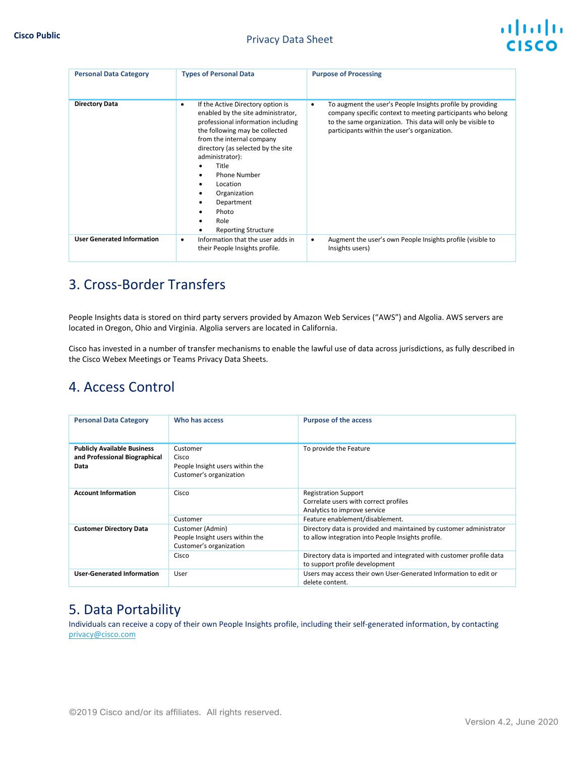| <b>Personal Data Category</b>     | <b>Types of Personal Data</b>                                                                                                                                                                                                                                                                                                                                       | <b>Purpose of Processing</b>                                                                                                                                                                                                                          |
|-----------------------------------|---------------------------------------------------------------------------------------------------------------------------------------------------------------------------------------------------------------------------------------------------------------------------------------------------------------------------------------------------------------------|-------------------------------------------------------------------------------------------------------------------------------------------------------------------------------------------------------------------------------------------------------|
| <b>Directory Data</b>             | If the Active Directory option is<br>٠<br>enabled by the site administrator,<br>professional information including<br>the following may be collected<br>from the internal company<br>directory (as selected by the site<br>administrator):<br>Title<br><b>Phone Number</b><br>Location<br>Organization<br>Department<br>Photo<br>Role<br><b>Reporting Structure</b> | To augment the user's People Insights profile by providing<br>$\bullet$<br>company specific context to meeting participants who belong<br>to the same organization. This data will only be visible to<br>participants within the user's organization. |
| <b>User Generated Information</b> | Information that the user adds in<br>٠<br>their People Insights profile.                                                                                                                                                                                                                                                                                            | Augment the user's own People Insights profile (visible to<br>$\bullet$<br>Insights users)                                                                                                                                                            |

## 3. Cross-Border Transfers

People Insights data is stored on third party servers provided by Amazon Web Services ("AWS") and Algolia. AWS servers are located in Oregon, Ohio and Virginia. Algolia servers are located in California.

Cisco has invested in a number of transfer mechanisms to enable the lawful use of data across jurisdictions, as fully described in the Cisco Webex Meetings or Teams Privacy Data Sheets.

## 4. Access Control

| <b>Personal Data Category</b>                                               | Who has access                                                                          | <b>Purpose of the access</b>                                                                                                                                                                      |
|-----------------------------------------------------------------------------|-----------------------------------------------------------------------------------------|---------------------------------------------------------------------------------------------------------------------------------------------------------------------------------------------------|
| <b>Publicly Available Business</b><br>and Professional Biographical<br>Data | Customer<br>Cisco<br>People Insight users within the<br>Customer's organization         | To provide the Feature                                                                                                                                                                            |
| <b>Account Information</b>                                                  | Cisco<br>Customer                                                                       | <b>Registration Support</b><br>Correlate users with correct profiles<br>Analytics to improve service<br>Feature enablement/disablement.                                                           |
| <b>Customer Directory Data</b>                                              | Customer (Admin)<br>People Insight users within the<br>Customer's organization<br>Cisco | Directory data is provided and maintained by customer administrator<br>to allow integration into People Insights profile.<br>Directory data is imported and integrated with customer profile data |
| <b>User-Generated Information</b>                                           | User                                                                                    | to support profile development<br>Users may access their own User-Generated Information to edit or<br>delete content.                                                                             |

#### 5. Data Portability

Individuals can receive a copy of their own People Insights profile, including their self-generated information, by contacting [privacy@cisco.com](mailto:privacy@cisco.com)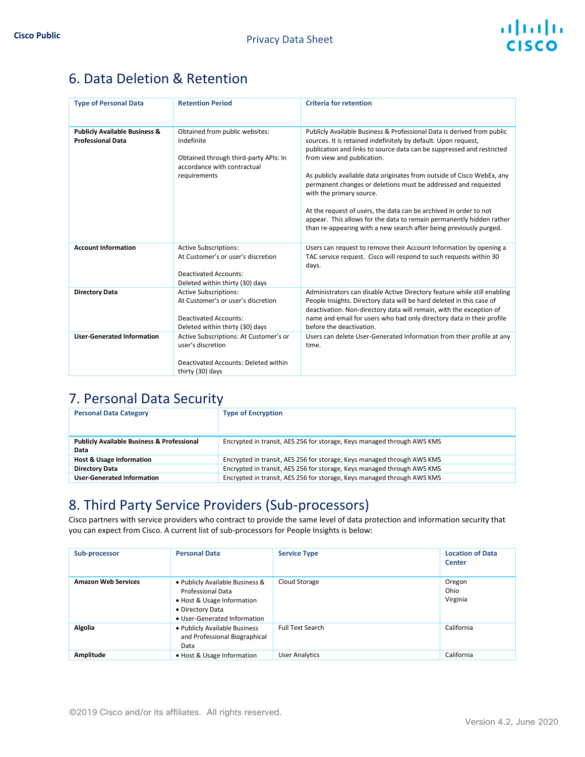## 6. Data Deletion & Retention

| <b>Type of Personal Data</b>                                         | <b>Retention Period</b>                                                                                                               | <b>Criteria for retention</b>                                                                                                                                                                                                                                                                                                                                                                                                                                                                                                                                                                                                              |
|----------------------------------------------------------------------|---------------------------------------------------------------------------------------------------------------------------------------|--------------------------------------------------------------------------------------------------------------------------------------------------------------------------------------------------------------------------------------------------------------------------------------------------------------------------------------------------------------------------------------------------------------------------------------------------------------------------------------------------------------------------------------------------------------------------------------------------------------------------------------------|
| <b>Publicly Available Business &amp;</b><br><b>Professional Data</b> | Obtained from public websites:<br>Indefinite<br>Obtained through third-party APIs: In<br>accordance with contractual<br>requirements  | Publicly Available Business & Professional Data is derived from public<br>sources. It is retained indefinitely by default. Upon request,<br>publication and links to source data can be suppressed and restricted<br>from view and publication.<br>As publicly available data originates from outside of Cisco WebEx, any<br>permanent changes or deletions must be addressed and requested<br>with the primary source.<br>At the request of users, the data can be archived in order to not<br>appear. This allows for the data to remain permanently hidden rather<br>than re-appearing with a new search after being previously purged. |
| <b>Account Information</b>                                           | <b>Active Subscriptions:</b><br>At Customer's or user's discretion<br><b>Deactivated Accounts:</b><br>Deleted within thirty (30) days | Users can request to remove their Account Information by opening a<br>TAC service request. Cisco will respond to such requests within 30<br>days.                                                                                                                                                                                                                                                                                                                                                                                                                                                                                          |
| <b>Directory Data</b>                                                | <b>Active Subscriptions:</b><br>At Customer's or user's discretion<br><b>Deactivated Accounts:</b><br>Deleted within thirty (30) days | Administrators can disable Active Directory feature while still enabling<br>People Insights. Directory data will be hard deleted in this case of<br>deactivation. Non-directory data will remain, with the exception of<br>name and email for users who had only directory data in their profile<br>before the deactivation.                                                                                                                                                                                                                                                                                                               |
| <b>User-Generated Information</b>                                    | Active Subscriptions: At Customer's or<br>user's discretion<br>Deactivated Accounts: Deleted within<br>thirty (30) days               | Users can delete User-Generated Information from their profile at any<br>time.                                                                                                                                                                                                                                                                                                                                                                                                                                                                                                                                                             |

#### 7. Personal Data Security

| <b>Personal Data Category</b>                                 | <b>Type of Encryption</b>                                               |
|---------------------------------------------------------------|-------------------------------------------------------------------------|
| <b>Publicly Available Business &amp; Professional</b><br>Data | Encrypted in transit, AES 256 for storage, Keys managed through AWS KMS |
| <b>Host &amp; Usage Information</b>                           | Encrypted in transit, AES 256 for storage, Keys managed through AWS KMS |
| <b>Directory Data</b>                                         | Encrypted in transit, AES 256 for storage, Keys managed through AWS KMS |
| <b>User-Generated Information</b>                             | Encrypted in transit, AES 256 for storage, Keys managed through AWS KMS |

#### 8. Third Party Service Providers (Sub-processors)

Cisco partners with service providers who contract to provide the same level of data protection and information security that you can expect from Cisco. A current list of sub-processors for People Insights is below:

| Sub-processor              | <b>Personal Data</b>                                                                                                                          | <b>Service Type</b>     | <b>Location of Data</b><br>Center |
|----------------------------|-----------------------------------------------------------------------------------------------------------------------------------------------|-------------------------|-----------------------------------|
| <b>Amazon Web Services</b> | • Publicly Available Business &<br><b>Professional Data</b><br>• Host & Usage Information<br>• Directory Data<br>· User-Generated Information | Cloud Storage           | Oregon<br>Ohio<br>Virginia        |
| Algolia                    | . Publicly Available Business<br>and Professional Biographical<br>Data                                                                        | <b>Full Text Search</b> | California                        |
| Amplitude                  | • Host & Usage Information                                                                                                                    | <b>User Analytics</b>   | California                        |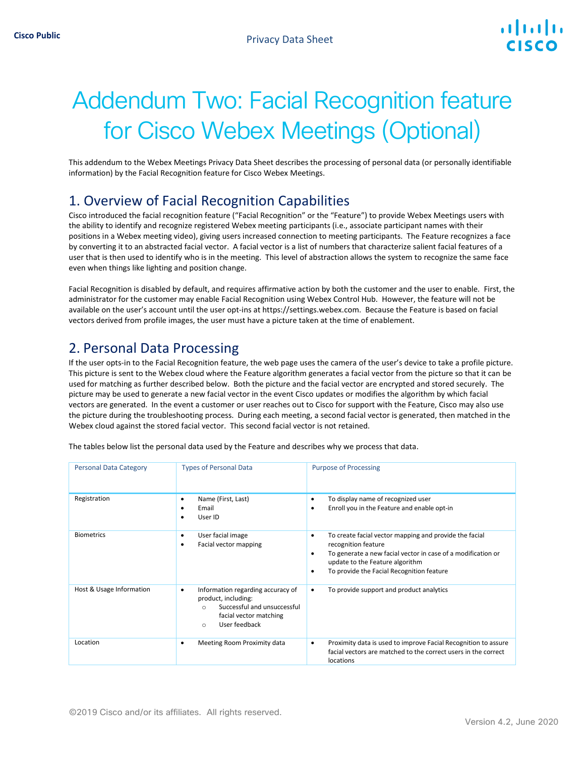# Addendum Two: Facial Recognition feature for Cisco Webex Meetings (Optional)

This addendum to the Webex Meetings Privacy Data Sheet describes the processing of personal data (or personally identifiable information) by the Facial Recognition feature for Cisco Webex Meetings.

#### 1. Overview of Facial Recognition Capabilities

Cisco introduced the facial recognition feature ("Facial Recognition" or the "Feature") to provide Webex Meetings users with the ability to identify and recognize registered Webex meeting participants (i.e., associate participant names with their positions in a Webex meeting video), giving users increased connection to meeting participants. The Feature recognizes a face by converting it to an abstracted facial vector. A facial vector is a list of numbers that characterize salient facial features of a user that is then used to identify who is in the meeting. This level of abstraction allows the system to recognize the same face even when things like lighting and position change.

Facial Recognition is disabled by default, and requires affirmative action by both the customer and the user to enable. First, the administrator for the customer may enable Facial Recognition using Webex Control Hub. However, the feature will not be available on the user's account until the user opt-ins at https://settings.webex.com. Because the Feature is based on facial vectors derived from profile images, the user must have a picture taken at the time of enablement.

#### 2. Personal Data Processing

If the user opts-in to the Facial Recognition feature, the web page uses the camera of the user's device to take a profile picture. This picture is sent to the Webex cloud where the Feature algorithm generates a facial vector from the picture so that it can be used for matching as further described below. Both the picture and the facial vector are encrypted and stored securely. The picture may be used to generate a new facial vector in the event Cisco updates or modifies the algorithm by which facial vectors are generated. In the event a customer or user reaches out to Cisco for support with the Feature, Cisco may also use the picture during the troubleshooting process. During each meeting, a second facial vector is generated, then matched in the Webex cloud against the stored facial vector. This second facial vector is not retained.

|  |  | The tables below list the personal data used by the Feature and describes why we process that data. |
|--|--|-----------------------------------------------------------------------------------------------------|
|--|--|-----------------------------------------------------------------------------------------------------|

| <b>Personal Data Category</b> | <b>Types of Personal Data</b>                                                                                                                                  | <b>Purpose of Processing</b>                                                                                                                                                                                                                         |
|-------------------------------|----------------------------------------------------------------------------------------------------------------------------------------------------------------|------------------------------------------------------------------------------------------------------------------------------------------------------------------------------------------------------------------------------------------------------|
| Registration                  | Name (First, Last)<br>٠<br>Email<br>User ID<br>٠                                                                                                               | To display name of recognized user<br>٠<br>Enroll you in the Feature and enable opt-in<br>٠                                                                                                                                                          |
| <b>Biometrics</b>             | User facial image<br>٠<br>Facial vector mapping<br>٠                                                                                                           | To create facial vector mapping and provide the facial<br>$\bullet$<br>recognition feature<br>To generate a new facial vector in case of a modification or<br>٠<br>update to the Feature algorithm<br>To provide the Facial Recognition feature<br>٠ |
| Host & Usage Information      | Information regarding accuracy of<br>٠<br>product, including:<br>Successful and unsuccessful<br>$\Omega$<br>facial vector matching<br>User feedback<br>$\circ$ | To provide support and product analytics<br>٠                                                                                                                                                                                                        |
| Location                      | Meeting Room Proximity data<br>٠                                                                                                                               | Proximity data is used to improve Facial Recognition to assure<br>٠<br>facial vectors are matched to the correct users in the correct<br>locations                                                                                                   |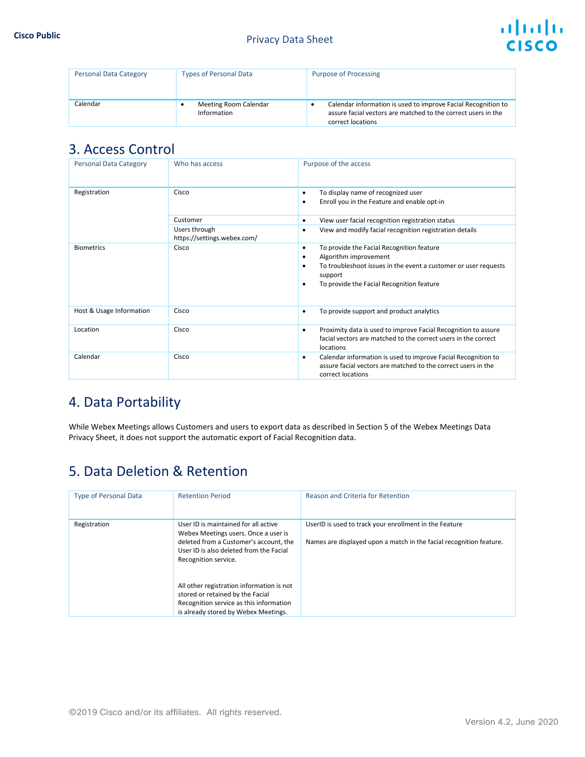

| <b>Personal Data Category</b> | <b>Types of Personal Data</b>        | <b>Purpose of Processing</b>                                                                                                                        |
|-------------------------------|--------------------------------------|-----------------------------------------------------------------------------------------------------------------------------------------------------|
| Calendar                      | Meeting Room Calendar<br>Information | Calendar information is used to improve Facial Recognition to<br>assure facial vectors are matched to the correct users in the<br>correct locations |

#### 3. Access Control

| <b>Personal Data Category</b> | Who has access                               | Purpose of the access                                                                                                                                                                                             |
|-------------------------------|----------------------------------------------|-------------------------------------------------------------------------------------------------------------------------------------------------------------------------------------------------------------------|
| Registration                  | Cisco                                        | To display name of recognized user<br>٠<br>Enroll you in the Feature and enable opt-in<br>٠                                                                                                                       |
|                               | Customer                                     | View user facial recognition registration status<br>٠                                                                                                                                                             |
|                               | Users through<br>https://settings.webex.com/ | View and modify facial recognition registration details<br>$\bullet$                                                                                                                                              |
| <b>Biometrics</b>             | Cisco                                        | To provide the Facial Recognition feature<br>٠<br>Algorithm improvement<br>٠<br>To troubleshoot issues in the event a customer or user requests<br>٠<br>support<br>To provide the Facial Recognition feature<br>٠ |
| Host & Usage Information      | Cisco                                        | To provide support and product analytics<br>٠                                                                                                                                                                     |
| Location                      | Cisco                                        | Proximity data is used to improve Facial Recognition to assure<br>٠<br>facial vectors are matched to the correct users in the correct<br>locations                                                                |
| Calendar                      | Cisco                                        | Calendar information is used to improve Facial Recognition to<br>٠<br>assure facial vectors are matched to the correct users in the<br>correct locations                                                          |

## 4. Data Portability

While Webex Meetings allows Customers and users to export data as described in Section 5 of the Webex Meetings Data Privacy Sheet, it does not support the automatic export of Facial Recognition data.

# 5. Data Deletion & Retention

| <b>Type of Personal Data</b> | <b>Retention Period</b>                                                                                                                                                                   | Reason and Criteria for Retention                                                                                             |
|------------------------------|-------------------------------------------------------------------------------------------------------------------------------------------------------------------------------------------|-------------------------------------------------------------------------------------------------------------------------------|
| Registration                 | User ID is maintained for all active<br>Webex Meetings users. Once a user is<br>deleted from a Customer's account, the<br>User ID is also deleted from the Facial<br>Recognition service. | UserID is used to track your enrollment in the Feature<br>Names are displayed upon a match in the facial recognition feature. |
|                              | All other registration information is not<br>stored or retained by the Facial<br>Recognition service as this information<br>is already stored by Webex Meetings.                          |                                                                                                                               |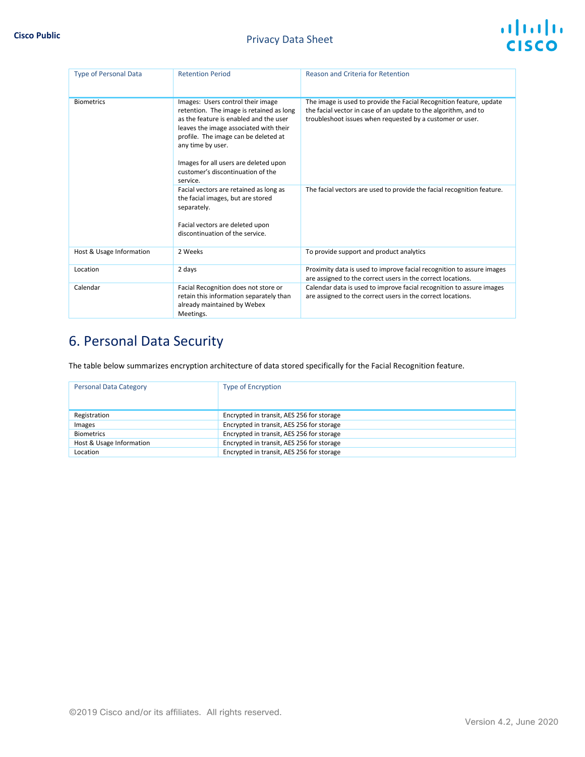

| <b>Type of Personal Data</b> | <b>Retention Period</b>                                                                                                                                                                                                                                                                                                  | Reason and Criteria for Retention                                                                                                                                                                   |
|------------------------------|--------------------------------------------------------------------------------------------------------------------------------------------------------------------------------------------------------------------------------------------------------------------------------------------------------------------------|-----------------------------------------------------------------------------------------------------------------------------------------------------------------------------------------------------|
| <b>Biometrics</b>            | Images: Users control their image<br>retention. The image is retained as long<br>as the feature is enabled and the user<br>leaves the image associated with their<br>profile. The image can be deleted at<br>any time by user.<br>Images for all users are deleted upon<br>customer's discontinuation of the<br>service. | The image is used to provide the Facial Recognition feature, update<br>the facial vector in case of an update to the algorithm, and to<br>troubleshoot issues when requested by a customer or user. |
|                              | Facial vectors are retained as long as<br>the facial images, but are stored<br>separately.<br>Facial vectors are deleted upon<br>discontinuation of the service.                                                                                                                                                         | The facial vectors are used to provide the facial recognition feature.                                                                                                                              |
| Host & Usage Information     | 2 Weeks                                                                                                                                                                                                                                                                                                                  | To provide support and product analytics                                                                                                                                                            |
| Location                     | 2 days                                                                                                                                                                                                                                                                                                                   | Proximity data is used to improve facial recognition to assure images<br>are assigned to the correct users in the correct locations.                                                                |
| Calendar                     | Facial Recognition does not store or<br>retain this information separately than<br>already maintained by Webex<br>Meetings.                                                                                                                                                                                              | Calendar data is used to improve facial recognition to assure images<br>are assigned to the correct users in the correct locations.                                                                 |

# 6. Personal Data Security

The table below summarizes encryption architecture of data stored specifically for the Facial Recognition feature.

| <b>Personal Data Category</b> | <b>Type of Encryption</b>                 |  |
|-------------------------------|-------------------------------------------|--|
|                               |                                           |  |
|                               |                                           |  |
| Registration                  | Encrypted in transit, AES 256 for storage |  |
| Images                        | Encrypted in transit, AES 256 for storage |  |
| <b>Biometrics</b>             | Encrypted in transit, AES 256 for storage |  |
| Host & Usage Information      | Encrypted in transit, AES 256 for storage |  |
| Location                      | Encrypted in transit, AES 256 for storage |  |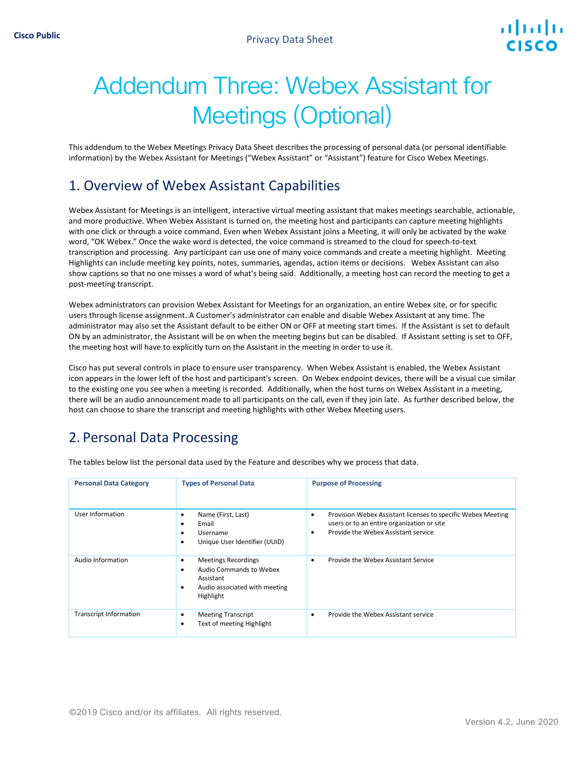# Addendum Three: Webex Assistant for Meetings (Optional)

This addendum to the Webex Meetings Privacy Data Sheet describes the processing of personal data (or personal identifiable information) by the Webex Assistant for Meetings ("Webex Assistant" or "Assistant") feature for Cisco Webex Meetings.

#### 1. Overview of Webex Assistant Capabilities

Webex Assistant for Meetings is an intelligent, interactive virtual meeting assistant that makes meetings searchable, actionable, and more productive. When Webex Assistant is turned on, the meeting host and participants can capture meeting highlights with one click or through a voice command. Even when Webex Assistant joins a Meeting, it will only be activated by the wake word, "OK Webex." Once the wake word is detected, the voice command is streamed to the cloud for speech-to-text transcription and processing. Any participant can use one of many voice commands and create a meeting highlight. Meeting Highlights can include meeting key points, notes, summaries, agendas, action items or decisions. Webex Assistant can also show captions so that no one misses a word of what's being said. Additionally, a meeting host can record the meeting to get a post-meeting transcript.

Webex administrators can provision Webex Assistant for Meetings for an organization, an entire Webex site, or for specific users through license assignment. A Customer's administrator can enable and disable Webex Assistant at any time. The administrator may also set the Assistant default to be either ON or OFF at meeting start times. If the Assistant is set to default ON by an administrator, the Assistant will be on when the meeting begins but can be disabled. If Assistant setting is set to OFF, the meeting host will have to explicitly turn on the Assistant in the meeting in order to use it.

Cisco has put several controls in place to ensure user transparency. When Webex Assistant is enabled, the Webex Assistant icon appears in the lower left of the host and participant's screen. On Webex endpoint devices, there will be a visual cue similar to the existing one you see when a meeting is recorded. Additionally, when the host turns on Webex Assistant in a meeting, there will be an audio announcement made to all participants on the call, even if they join late. As further described below, the host can choose to share the transcript and meeting highlights with other Webex Meeting users.

## 2. Personal Data Processing

| <b>Personal Data Category</b> | <b>Types of Personal Data</b>                                                                                                           | <b>Purpose of Processing</b>                                                                                                                           |
|-------------------------------|-----------------------------------------------------------------------------------------------------------------------------------------|--------------------------------------------------------------------------------------------------------------------------------------------------------|
| User Information              | Name (First, Last)<br>٠<br>Email<br>٠<br>Username<br>٠<br>Unique User Identifier (UUID)<br>٠                                            | Provision Webex Assistant licenses to specific Webex Meeting<br>٠<br>users or to an entire organization or site<br>Provide the Webex Assistant service |
| Audio Information             | <b>Meetings Recordings</b><br>$\bullet$<br>Audio Commands to Webex<br>٠<br>Assistant<br>Audio associated with meeting<br>٠<br>Highlight | Provide the Webex Assistant Service<br>$\bullet$                                                                                                       |
| <b>Transcript Information</b> | <b>Meeting Transcript</b><br>٠<br>Text of meeting Highlight<br>٠                                                                        | Provide the Webex Assistant service<br>٠                                                                                                               |

The tables below list the personal data used by the Feature and describes why we process that data.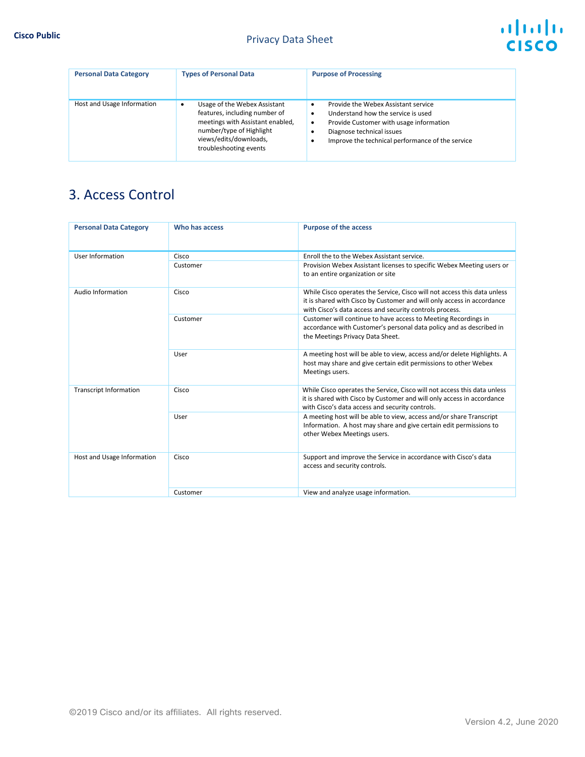| <b>Personal Data Category</b> | <b>Types of Personal Data</b>                                                                                                                                                     | <b>Purpose of Processing</b>                                                                                                                                                                                              |
|-------------------------------|-----------------------------------------------------------------------------------------------------------------------------------------------------------------------------------|---------------------------------------------------------------------------------------------------------------------------------------------------------------------------------------------------------------------------|
| Host and Usage Information    | Usage of the Webex Assistant<br>features, including number of<br>meetings with Assistant enabled,<br>number/type of Highlight<br>views/edits/downloads,<br>troubleshooting events | Provide the Webex Assistant service<br>٠<br>Understand how the service is used<br>٠<br>Provide Customer with usage information<br>٠<br>Diagnose technical issues<br>Improve the technical performance of the service<br>٠ |

## 3. Access Control

| <b>Personal Data Category</b> | Who has access | <b>Purpose of the access</b>                                                                                                                                                                                  |
|-------------------------------|----------------|---------------------------------------------------------------------------------------------------------------------------------------------------------------------------------------------------------------|
| User Information              | Cisco          | Enroll the to the Webex Assistant service.                                                                                                                                                                    |
|                               | Customer       | Provision Webex Assistant licenses to specific Webex Meeting users or<br>to an entire organization or site                                                                                                    |
| Audio Information             | Cisco          | While Cisco operates the Service, Cisco will not access this data unless<br>it is shared with Cisco by Customer and will only access in accordance<br>with Cisco's data access and security controls process. |
|                               | Customer       | Customer will continue to have access to Meeting Recordings in<br>accordance with Customer's personal data policy and as described in<br>the Meetings Privacy Data Sheet.                                     |
|                               | User           | A meeting host will be able to view, access and/or delete Highlights. A<br>host may share and give certain edit permissions to other Webex<br>Meetings users.                                                 |
| <b>Transcript Information</b> | Cisco          | While Cisco operates the Service, Cisco will not access this data unless<br>it is shared with Cisco by Customer and will only access in accordance<br>with Cisco's data access and security controls.         |
|                               | User           | A meeting host will be able to view, access and/or share Transcript<br>Information. A host may share and give certain edit permissions to<br>other Webex Meetings users.                                      |
| Host and Usage Information    | Cisco          | Support and improve the Service in accordance with Cisco's data<br>access and security controls.                                                                                                              |
|                               | Customer       | View and analyze usage information.                                                                                                                                                                           |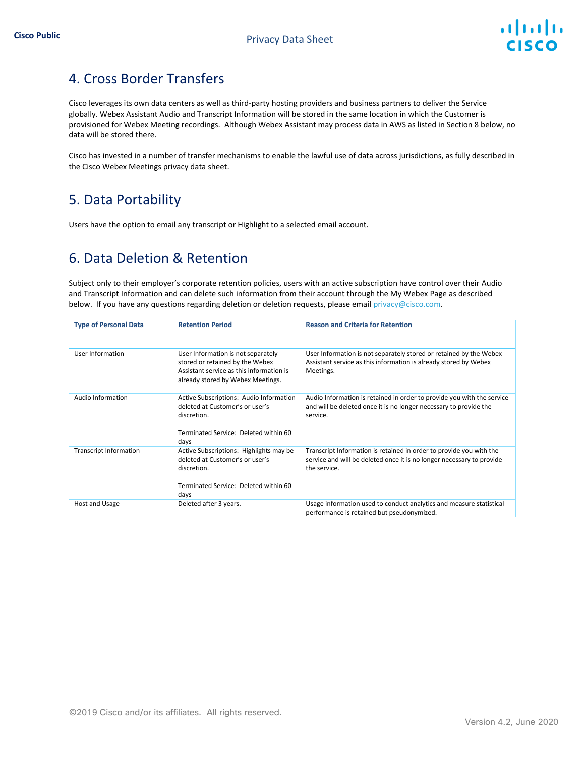

# 4. Cross Border Transfers

Cisco leverages its own data centers as well as third-party hosting providers and business partners to deliver the Service globally. Webex Assistant Audio and Transcript Information will be stored in the same location in which the Customer is provisioned for Webex Meeting recordings. Although Webex Assistant may process data in AWS as listed in Section 8 below, no data will be stored there.

Cisco has invested in a number of transfer mechanisms to enable the lawful use of data across jurisdictions, as fully described in the Cisco Webex Meetings privacy data sheet.

## 5. Data Portability

Users have the option to email any transcript or Highlight to a selected email account.

#### 6. Data Deletion & Retention

Subject only to their employer's corporate retention policies, users with an active subscription have control over their Audio and Transcript Information and can delete such information from their account through the My Webex Page as described below. If you have any questions regarding deletion or deletion requests, please email privacy@cisco.com.

| <b>Type of Personal Data</b>  | <b>Retention Period</b>                                                                                                                                | <b>Reason and Criteria for Retention</b>                                                                                                                     |
|-------------------------------|--------------------------------------------------------------------------------------------------------------------------------------------------------|--------------------------------------------------------------------------------------------------------------------------------------------------------------|
| User Information              | User Information is not separately<br>stored or retained by the Webex<br>Assistant service as this information is<br>already stored by Webex Meetings. | User Information is not separately stored or retained by the Webex<br>Assistant service as this information is already stored by Webex<br>Meetings.          |
| Audio Information             | Active Subscriptions: Audio Information<br>deleted at Customer's or user's<br>discretion.<br>Terminated Service: Deleted within 60<br>days             | Audio Information is retained in order to provide you with the service<br>and will be deleted once it is no longer necessary to provide the<br>service.      |
| <b>Transcript Information</b> | Active Subscriptions: Highlights may be<br>deleted at Customer's or user's<br>discretion.<br>Terminated Service: Deleted within 60<br>days             | Transcript Information is retained in order to provide you with the<br>service and will be deleted once it is no longer necessary to provide<br>the service. |
| Host and Usage                | Deleted after 3 years.                                                                                                                                 | Usage information used to conduct analytics and measure statistical<br>performance is retained but pseudonymized.                                            |